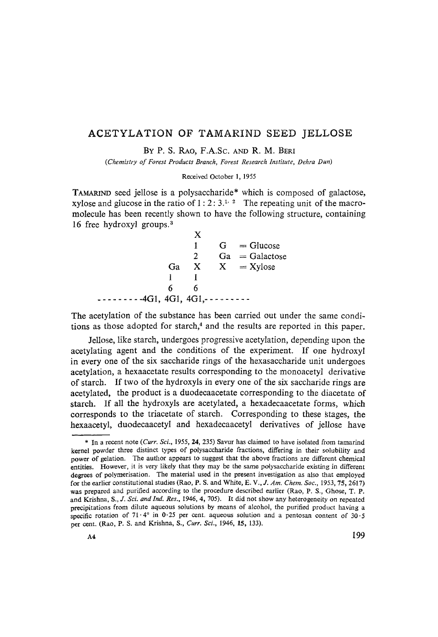## ACETYLATION OF TAMARIND SEED JELLOSE

BY P. S. RAO, F.A.Sc. AND R. M. BERI

*(Chemistry of Forest Products Branch, Forest Research Institute, Dehra Dun)* 

Received October l, 1955

TAMARIND seed jellose is a polysaccharide\* which is composed of galactose, xylose and glucose in the ratio of  $1 : 2 : 3.^{1, 2}$  The repeating unit of the macromolecule has been recently shown to have the following structure, containing 16 free hydroxyl groups.<sup>3</sup>

|                             |    |              | $G = Glucose$    |
|-----------------------------|----|--------------|------------------|
|                             |    | 2.           | $Ga = Galactose$ |
|                             | Ga | $\mathbf{X}$ | $X = Xylose$     |
|                             |    |              |                  |
|                             | h  | h            |                  |
| $-4G1, 4G1, 4G1, - - - - -$ |    |              |                  |

The acetylation of the substance has been carried out under the same conditions as those adopted for starch,<sup>4</sup> and the results are reported in this paper.

Jellose, like starch, undergoes progressive acetylation, depending upon the acetylating agent and the conditions of the experiment. If one hydroxyl in every one of the six saccharide rings of the hexasaccharide unit undergoes acetylation, a hexaacetate results corresponding to the monoacetyl derivative of starch. If two of the hydroxyls in every one of the six saccharide rings are acetylated, the product is a duodecaacetate corresponding to the diacetate of starch. If all the hydroxyls are acetylated, a hexadecaacetate forms, which corresponds to the triacetate of starch. Corresponding to these stages, the hexaacetyl, duodecaacetyl and hexadecaacetyl derivatives of jellose have

<sup>\*</sup> In a reeent note *(Curr. Sci.,* 1955, 24, 235) Savur has claimed to have isolated from tamarind kernel powder three distinct types of polysaccharide fractions, differing in their solubility and power of gelation. The author appears to suggest that the above fractions are different chemical entities. However, it is very likely that they may be the same polysaccharide existing in different degrees of polymerisation. The material used in the present investigation as also that employed for the earlier constitutional studies (Rao, P. S. and White, *E. V., J. Aro. Chem. Soc.,* 1953, 75, 2617) was prepared and purified according to the procedure described earlier (Rao, P. S., Ghose, T. P. and Krishna, *S., J. Sci. and Ind. Res.,* 1946, 4, 705). It did not show any heterogeneity on repeated precipitations from dilute aqueous solutions by means of alcohol, the purified product having a specific rotation of 71.4° in 0.25 per cent. aqueous solution and a pentosan content of  $30.5$ per cent. (Rao, P. S. and Krishna, S., *Curr. Sci.,* 1946, 15, 133).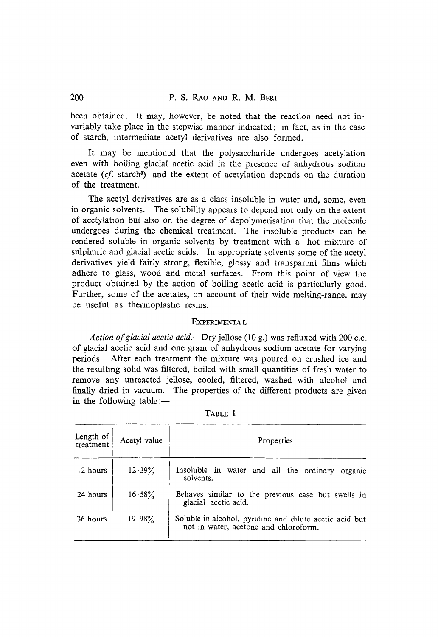been obtained. It may, however, be noted that the reaction need not invariably take place in the stepwise manner indicated; in fact, as in the case of starch, intermediate acetyl derivatives are also formed.

It may be mentioned that the polysaccharide undergoes acetylation even with boiling glacial acetic acid in the presence of anhydrous sodium acetate  $(cf. \, \text{starch}^5)$  and the extent of acetylation depends on the duration of the treatment.

The acetyl derivatives are as a class insoluble in water and, some, even in organic solvents. The solubility appears to depend not only on the extent of acetylation but atso on the degree of depolymerisation that the molecule undergoes during the chemical treatment. The insoluble products can be rendered soluble in organic solvents by treatment with a hot mixture of sulphuric and glacial acetic acids. In appropriate solvents some of the acetyl derivatives yield fairly strong, flexible, glossy and transparent films which adhere to glass, wood and metal surfaces. From this point of view the product obtained by the action of boiling acetic acid is particularly good. Further, some of the acetates, on account of their wide melting-range, may be useful as thermoplastic resins.

## EXPERIMENTA L

*Action of glacial acetic acid.--Dry* jellose (10 g.) was refluxed with 200 c.c. of glacial acetic acid and one gram of anhydrous sodium acetate for varying periods. After each treatment the mixture was poured on crushed ice and the resulting solid was filtered, boiled with small quantities of fresh water to remove any unreacted jellose, cooled, filtered, washed with alcohol and finally dried in vacuum. The properties of the different products are given in the following table : $-$ 

| Length of<br>treatment | Acetyl value | Properties                                                                                       |
|------------------------|--------------|--------------------------------------------------------------------------------------------------|
| 12 hours               | 12.39%       | Insoluble in water and all the ordinary organic<br>solvents.                                     |
| 24 hours               | 16.58%       | Behaves similar to the previous case but swells in<br>glacial acetic acid.                       |
| 36 hours               | $19.98\%$    | Soluble in alcohol, pyridine and dilute acetic acid but<br>not in water, acetone and chloroform. |

TABLE I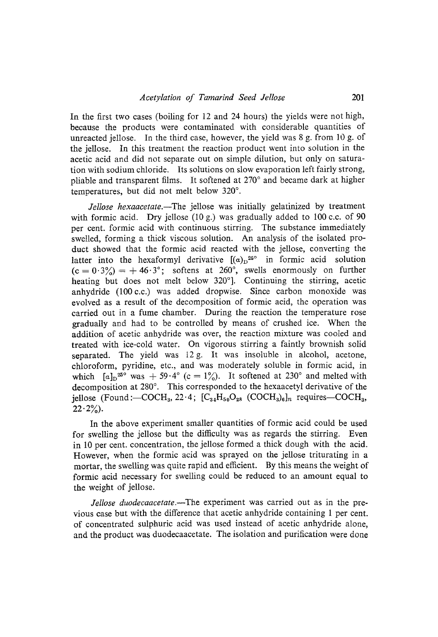In the first two cases (boiling for  $12$  and  $24$  hours) the yields were not high, because the products were contaminated with considerable quantities of unreacted jellose. In the third case, however, the yield was 8 g. from 10 g. of the jellose. In this treatment the reaction product went into solution in the acetic acid and did not separate out on simple dilution, but only on saturation with sodium chloride. Its solutions on slow evaporation left fairly strong, pliable and transparent films. It softened at 270° and became dark at higher temperatures, but did not melt below 320°.

*Jellose hexaacetate.*--The *jellose* was *initially* gelatinized by treatment with formic acid. Dry jellose (10 g.) was gradually added to 100 c.c. of 90 per cent. formic acid with continuous stirring. The substance immediately swelled, forming a thick viscous solution. Ah analysis of the isolated product showed that the formic acid reacted with the jellose, converting the latter into the hexaformyl derivative  $[(a)_n^{250}$  in formic acid solution  $(c=0.3\%) = +46.3^{\circ}$ ; softens at 260°, swells enormously on further heating but does not melt below  $320^{\circ}$ . Continuing the stirring, acetic anhydride (100 c.c.) was added dropwise. Since carbon monoxide was evolved as a result of the decomposition of formic acid, the operation was carried out in a fume chamber. During the reaction the temperature rose gradually and had to be controlled by means of crushed ice. When the addition of acetic anhydride was over, the reaction mixture was cooled and treated with ice-cold water. On vigorous stirring a faintly brownish solid separated. The yield was 12 g. It was insoluble in alcohol, acetone, chloroform, pyridine, etc., and was moderately soluble in formic acid, in which  $[a]_D^{25}$ <sup>o</sup> was  $+ 59.4$ <sup>o</sup> (c = 1%). It softened at 230<sup>o</sup> and melted with decomposition at  $280^\circ$ . This corresponded to the hexaacetyl derivative of the jellose (Found:- $COCH_3$ , 22.4;  $[C_{34}H_{50}O_{28}$  (COCH<sub>3</sub>)<sub>6</sub>]<sub>n</sub> requires-COCH<sub>3</sub>,  $22 \cdot 2\frac{9}{2}$ .

In the above experiment smaller quantities of formic acid could be used for sweUing the jellose but the difficulty was as regards the stirring. Even in 10 per cent. concentration, the jellose formed a thick dough with the acid. However, when the formic acid was sprayed on the jeUose triturating in a mortar, the swelling was quite rapid and efficient. By this means the weight of formic acid necessary for swelling could be reduced to an amount equal to the weight of jellose.

*Jellose duodecaacetate.--The* experiment was carried out as in the previous case but with the difference that acetic anhydride containing 1 per cent. of concentrated sulphuric acid was used instead of acetic anhydride alone, and the product was duodecaacetate. The isolation and purification were done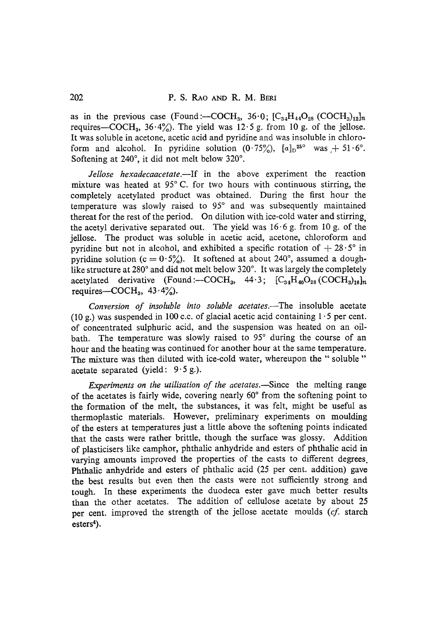as in the previous case (Found: $-COCH_3$ , 36.0;  $[C_{34}H_{44}O_{28}$  (COCH<sub>3</sub>)<sub>12</sub>]<sub>n</sub> requires—COCH<sub>3</sub>, 36.4%). The yield was 12.5 g. from 10 g. of the jellose. It was soluble in acetone, acetic acid and pyridine and was insoluble in chloroform and alcohol. In pyridine solution  $(0.75\%)$ ,  $[a]_D^{25\degree}$  was  $+51.6^\degree$ . Softening at  $240^\circ$ , it did not melt below  $320^\circ$ .

*Jellose hexadecaacetate.--If* in the above experiment the reaction mixture was heated at  $95^{\circ}$  C. for two hours with continuous stirring, the completely acetylated product was obtained. During the first hour the temperature was slowly raised to 95<sup>°</sup> and was subsequently maintained thereat for the rest of the period. On dilution with ice-cold water and stirring. the acetyl derivative separated out. The yield was  $16.6$  g. from  $10$  g. of the jellose. The product was soluble in acetic acid, acetone, chloroform and pyridine but not in alcohol, and exhibited a specific rotation of  $+28.5^\circ$  in pyridine solution (c =  $0.5\%$ ). It softened at about 240°, assumed a doughlike structure at 280° and did not melt below 320°. It was largely the completely acetylated derivative (Found :- $\text{COCH}_3$ , 44.3;  $\text{[C}_{34}\text{H}_{40}\text{O}_{28} \text{(COCH}_3)_{16}]_n$ requires- $\sim$ COCH<sub>3</sub>, 43.4%).

*Conversion of insoluble into soluble acetates.--The* insoluble acetate (10 g.) was suspended in 100 c.c. of glacial acetic acid containing  $1 \cdot 5$  per cent. of concentrated sulphuric acid, and the suspension was heated on an oilbath. The temperature was slowly raised to 95° during the course of an hour and the heating was continued for another hour at the same temperature. The mixture was then diluted with ice-cold water, whereupon the " soluble " acetate separated (yield:  $9.5$  g.).

*Experiments on the utilisation of the acetates.*—Since the melting range of the acetates is fairly wide, covering nearly  $60^{\circ}$  from the softening point to the formation of the melt, the substances, it was felt, might be useful as thermoplastic materials. However, preliminary experiments on moulding of the esters at temperatures justa little above the softening points indicated that the casts were rather brittle, though the surface was glossy. Addition of plasticisers like camphor, phthalic anhydride and esters of phthalic acid in varying amounts improved the properties of the casts to different degrees. Phthalic anhydride and esters of phthalic acid (25 per cent. addition) gave the best results but even then the casts were not sufficiently strong and tough. In these experiments the duodeca ester gave much better results than the other acetates. The addition of cellulose acetate by about 25 per cent. improved the strength of the jellose acetate moulds (cf. starch  $\text{esters}^4$ ).